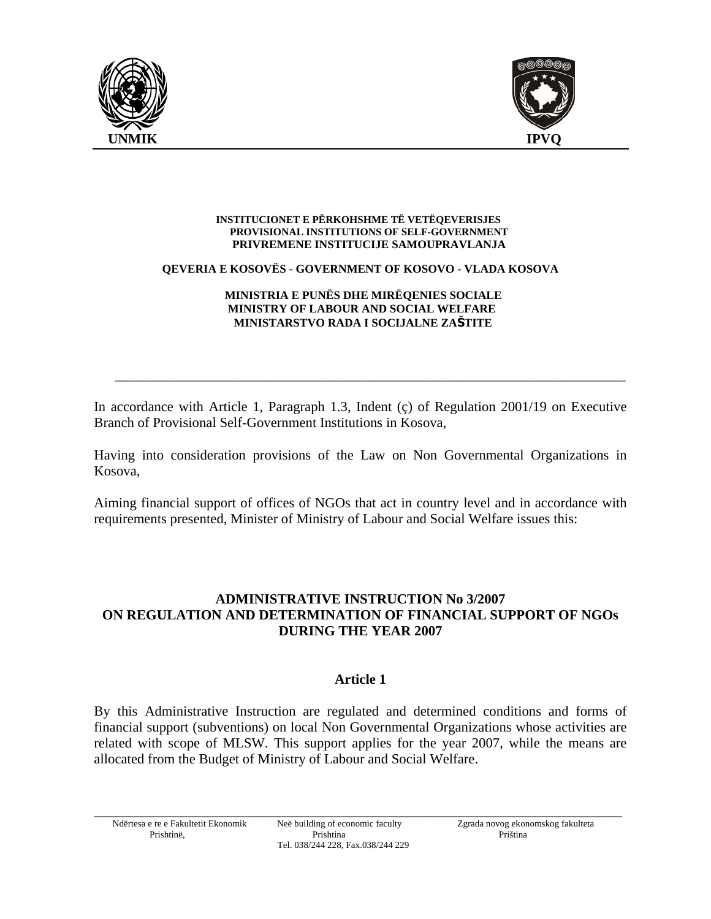



#### **INSTITUCIONET E PËRKOHSHME TË VETËQEVERISJES PROVISIONAL INSTITUTIONS OF SELF-GOVERNMENT PRIVREMENE INSTITUCIJE SAMOUPRAVLANJA**

#### **QEVERIA E KOSOVËS - GOVERNMENT OF KOSOVO - VLADA KOSOVA**

#### **MINISTRIA E PUNËS DHE MIRËQENIES SOCIALE MINISTRY OF LABOUR AND SOCIAL WELFARE MINISTARSTVO RADA I SOCIJALNE ZAŠTITE**

In accordance with Article 1, Paragraph 1.3, Indent (ç) of Regulation 2001/19 on Executive Branch of Provisional Self-Government Institutions in Kosova,

\_\_\_\_\_\_\_\_\_\_\_\_\_\_\_\_\_\_\_\_\_\_\_\_\_\_\_\_\_\_\_\_\_\_\_\_\_\_\_\_\_\_\_\_\_\_\_\_\_\_\_\_\_\_\_\_\_\_\_\_\_\_\_\_\_\_\_\_\_\_\_\_\_\_\_\_\_\_\_\_\_\_\_\_\_\_\_\_

Having into consideration provisions of the Law on Non Governmental Organizations in Kosova,

Aiming financial support of offices of NGOs that act in country level and in accordance with requirements presented, Minister of Ministry of Labour and Social Welfare issues this:

# **ADMINISTRATIVE INSTRUCTION No 3/2007 ON REGULATION AND DETERMINATION OF FINANCIAL SUPPORT OF NGOs DURING THE YEAR 2007**

# **Article 1**

By this Administrative Instruction are regulated and determined conditions and forms of financial support (subventions) on local Non Governmental Organizations whose activities are related with scope of MLSW. This support applies for the year 2007, while the means are allocated from the Budget of Ministry of Labour and Social Welfare.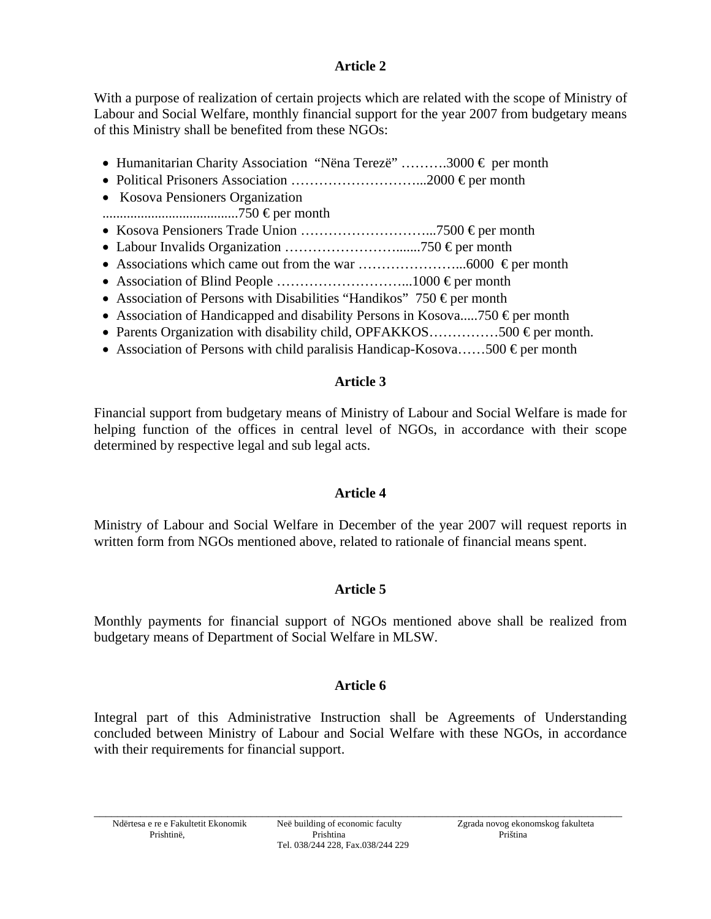# **Article 2**

With a purpose of realization of certain projects which are related with the scope of Ministry of Labour and Social Welfare, monthly financial support for the year 2007 from budgetary means of this Ministry shall be benefited from these NGOs:

- Humanitarian Charity Association "Nëna Terezë" .........3000  $\epsilon$  per month
- Political Prisoners Association ………………………...2000 € per month
- Kosova Pensioners Organization
- .......................................750 € per month
- Kosova Pensioners Trade Union ………………………...7500 € per month
- Labour Invalids Organization …………………….......750 € per month
- Associations which came out from the war …………………...6000 € per month
- Association of Blind People ………………………...1000 € per month
- Association of Persons with Disabilities "Handikos" 750  $\epsilon$  per month
- Association of Handicapped and disability Persons in Kosova.....750  $\epsilon$  per month
- Parents Organization with disability child, OPFAKKOS...............500  $\epsilon$  per month.
- Association of Persons with child paralisis Handicap-Kosova......500  $\epsilon$  per month

# **Article 3**

Financial support from budgetary means of Ministry of Labour and Social Welfare is made for helping function of the offices in central level of NGOs, in accordance with their scope determined by respective legal and sub legal acts.

# **Article 4**

Ministry of Labour and Social Welfare in December of the year 2007 will request reports in written form from NGOs mentioned above, related to rationale of financial means spent.

# **Article 5**

Monthly payments for financial support of NGOs mentioned above shall be realized from budgetary means of Department of Social Welfare in MLSW.

# **Article 6**

Integral part of this Administrative Instruction shall be Agreements of Understanding concluded between Ministry of Labour and Social Welfare with these NGOs, in accordance with their requirements for financial support.